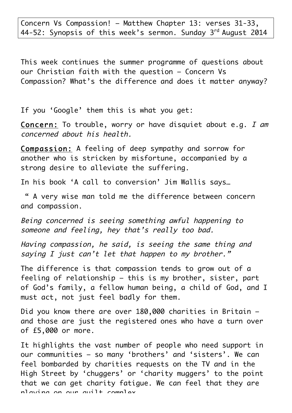Concern Vs Compassion! – Matthew Chapter 13: verses 31-33, 44-52: Synopsis of this week's sermon. Sunday 3<sup>rd</sup> August 2014

This week continues the summer programme of questions about our Christian faith with the question – Concern Vs Compassion? What's the difference and does it matter anyway?

If you 'Google' them this is what you get:

Concern: To trouble, worry or have disquiet about e.g. I am concerned about his health.

Compassion: A feeling of deep sympathy and sorrow for another who is stricken by misfortune, accompanied by a strong desire to alleviate the suffering.

In his book 'A call to conversion' Jim Wallis says…

" A very wise man told me the difference between concern and compassion.

Being concerned is seeing something awful happening to someone and feeling, hey that's really too bad.

Having compassion, he said, is seeing the same thing and saying I just can't let that happen to my brother."

The difference is that compassion tends to grow out of a feeling of relationship – this is my brother, sister, part of God's family, a fellow human being, a child of God, and I must act, not just feel badly for them.

Did you know there are over 180,000 charities in Britain – and those are just the registered ones who have a turn over of £5,000 or more.

It highlights the vast number of people who need support in our communities – so many 'brothers' and 'sisters'. We can feel bombarded by charities requests on the TV and in the High Street by 'chuggers' or 'charity muggers' to the point that we can get charity fatigue. We can feel that they are playing on our quilt complex.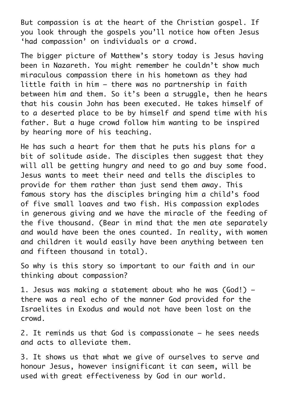But compassion is at the heart of the Christian gospel. If you look through the gospels you'll notice how often Jesus 'had compassion' on individuals or a crowd.

The bigger picture of Matthew's story today is Jesus having been in Nazareth. You might remember he couldn't show much miraculous compassion there in his hometown as they had little faith in him – there was no partnership in faith between him and them. So it's been a struggle, then he hears that his cousin John has been executed. He takes himself of to a deserted place to be by himself and spend time with his father. But a huge crowd follow him wanting to be inspired by hearing more of his teaching.

He has such a heart for them that he puts his plans for a bit of solitude aside. The disciples then suggest that they will all be aettina hunary and need to ao and buy some food. Jesus wants to meet their need and tells the disciples to provide for them rather than just send them away. This famous story has the disciples bringing him a child's food of five small loaves and two fish. His compassion explodes in generous giving and we have the miracle of the feeding of the five thousand. (Bear in mind that the men ate separately and would have been the ones counted. In reality, with women and children it would easily have been anything between ten and fifteen thousand in total).

So why is this story so important to our faith and in our thinking about compassion?

1. Jesus was making a statement about who he was (God!) – there was a real echo of the manner God provided for the Israelites in Exodus and would not have been lost on the crowd.

2. It reminds us that God is compassionate – he sees needs and acts to alleviate them.

3. It shows us that what we give of ourselves to serve and honour Jesus, however insignificant it can seem, will be used with great effectiveness by God in our world.